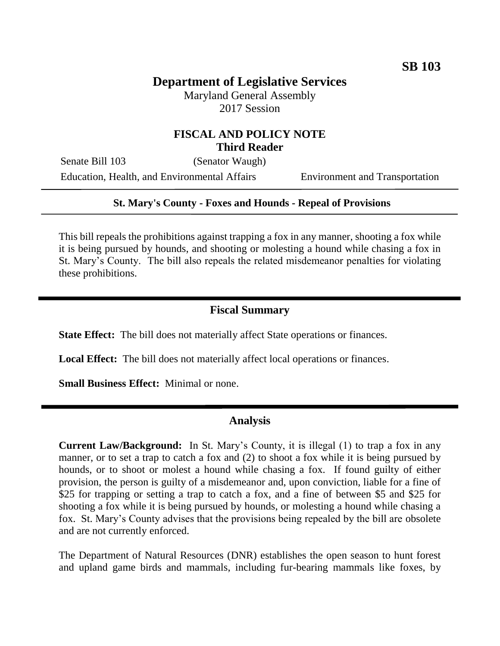# **Department of Legislative Services**

Maryland General Assembly 2017 Session

### **FISCAL AND POLICY NOTE Third Reader**

Senate Bill 103 (Senator Waugh) Education, Health, and Environmental Affairs Environment and Transportation

#### **St. Mary's County - Foxes and Hounds - Repeal of Provisions**

This bill repeals the prohibitions against trapping a fox in any manner, shooting a fox while it is being pursued by hounds, and shooting or molesting a hound while chasing a fox in St. Mary's County. The bill also repeals the related misdemeanor penalties for violating these prohibitions.

#### **Fiscal Summary**

**State Effect:** The bill does not materially affect State operations or finances.

Local Effect: The bill does not materially affect local operations or finances.

**Small Business Effect:** Minimal or none.

#### **Analysis**

**Current Law/Background:** In St. Mary's County, it is illegal (1) to trap a fox in any manner, or to set a trap to catch a fox and (2) to shoot a fox while it is being pursued by hounds, or to shoot or molest a hound while chasing a fox. If found guilty of either provision, the person is guilty of a misdemeanor and, upon conviction, liable for a fine of \$25 for trapping or setting a trap to catch a fox, and a fine of between \$5 and \$25 for shooting a fox while it is being pursued by hounds, or molesting a hound while chasing a fox. St. Mary's County advises that the provisions being repealed by the bill are obsolete and are not currently enforced.

The Department of Natural Resources (DNR) establishes the open season to hunt forest and upland game birds and mammals, including fur-bearing mammals like foxes, by